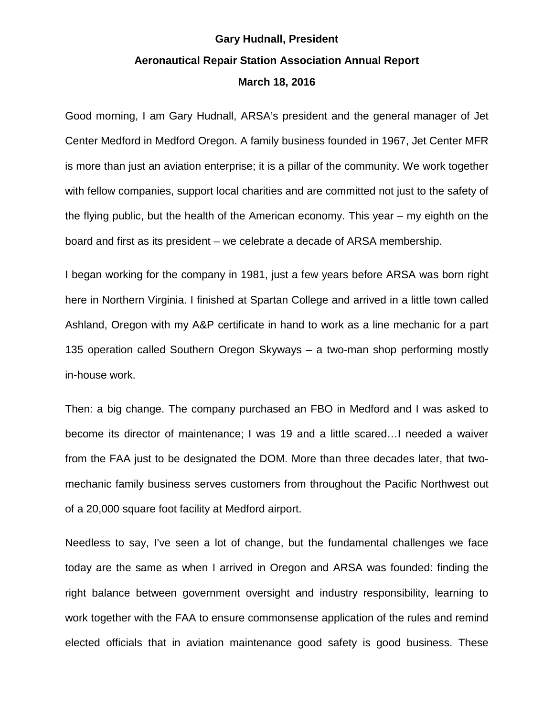## **Gary Hudnall, President Aeronautical Repair Station Association Annual Report March 18, 2016**

Good morning, I am Gary Hudnall, ARSA's president and the general manager of Jet Center Medford in Medford Oregon. A family business founded in 1967, Jet Center MFR is more than just an aviation enterprise; it is a pillar of the community. We work together with fellow companies, support local charities and are committed not just to the safety of the flying public, but the health of the American economy. This year – my eighth on the board and first as its president – we celebrate a decade of ARSA membership.

I began working for the company in 1981, just a few years before ARSA was born right here in Northern Virginia. I finished at Spartan College and arrived in a little town called Ashland, Oregon with my A&P certificate in hand to work as a line mechanic for a part 135 operation called Southern Oregon Skyways – a two-man shop performing mostly in-house work.

Then: a big change. The company purchased an FBO in Medford and I was asked to become its director of maintenance; I was 19 and a little scared…I needed a waiver from the FAA just to be designated the DOM. More than three decades later, that twomechanic family business serves customers from throughout the Pacific Northwest out of a 20,000 square foot facility at Medford airport.

Needless to say, I've seen a lot of change, but the fundamental challenges we face today are the same as when I arrived in Oregon and ARSA was founded: finding the right balance between government oversight and industry responsibility, learning to work together with the FAA to ensure commonsense application of the rules and remind elected officials that in aviation maintenance good safety is good business. These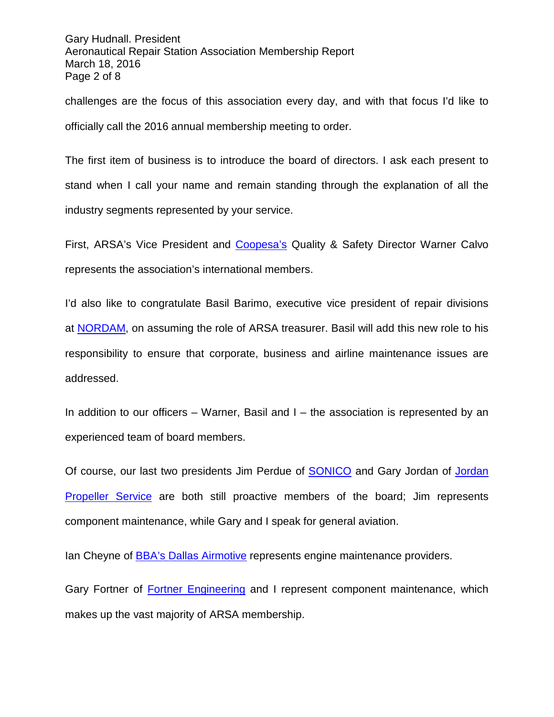Gary Hudnall. President Aeronautical Repair Station Association Membership Report March 18, 2016 Page 2 of 8

challenges are the focus of this association every day, and with that focus I'd like to officially call the 2016 annual membership meeting to order.

The first item of business is to introduce the board of directors. I ask each present to stand when I call your name and remain standing through the explanation of all the industry segments represented by your service.

First, ARSA's Vice President and [Coopesa's](http://coopesa.com/Home/) Quality & Safety Director Warner Calvo represents the association's international members.

I'd also like to congratulate Basil Barimo, executive vice president of repair divisions at [NORDAM,](http://www.nordam.com/) on assuming the role of ARSA treasurer. Basil will add this new role to his responsibility to ensure that corporate, business and airline maintenance issues are addressed.

In addition to our officers – Warner, Basil and  $I$  – the association is represented by an experienced team of board members.

Of course, our last two presidents Jim Perdue of [SONICO](http://www.sonicoinc.com/) and Gary Jordan of [Jordan](http://www.jordanpropellerserviceinc.com/)  [Propeller Service](http://www.jordanpropellerserviceinc.com/) are both still proactive members of the board; Jim represents component maintenance, while Gary and I speak for general aviation.

Ian Cheyne of [BBA's Dallas Airmotive](http://www.dallasairmotive.com/) represents engine maintenance providers.

Gary Fortner of [Fortner Engineering](http://www.fortnereng.com/) and I represent component maintenance, which makes up the vast majority of ARSA membership.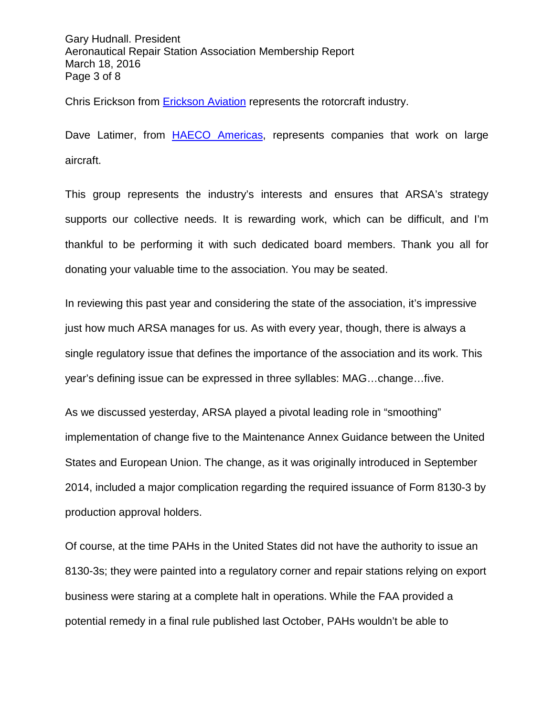Gary Hudnall. President Aeronautical Repair Station Association Membership Report March 18, 2016 Page 3 of 8

Chris Erickson from [Erickson Aviation](http://ericksonaviation.com/) represents the rotorcraft industry.

Dave Latimer, from [HAECO Americas,](http://www.haeco.com/HAECOGroup/Group-Companies/TIMCO.aspx) represents companies that work on large aircraft.

This group represents the industry's interests and ensures that ARSA's strategy supports our collective needs. It is rewarding work, which can be difficult, and I'm thankful to be performing it with such dedicated board members. Thank you all for donating your valuable time to the association. You may be seated.

In reviewing this past year and considering the state of the association, it's impressive just how much ARSA manages for us. As with every year, though, there is always a single regulatory issue that defines the importance of the association and its work. This year's defining issue can be expressed in three syllables: MAG…change…five.

As we discussed yesterday, ARSA played a pivotal leading role in "smoothing" implementation of change five to the Maintenance Annex Guidance between the United States and European Union. The change, as it was originally introduced in September 2014, included a major complication regarding the required issuance of Form 8130-3 by production approval holders.

Of course, at the time PAHs in the United States did not have the authority to issue an 8130-3s; they were painted into a regulatory corner and repair stations relying on export business were staring at a complete halt in operations. While the FAA provided a potential remedy in a final rule published last October, PAHs wouldn't be able to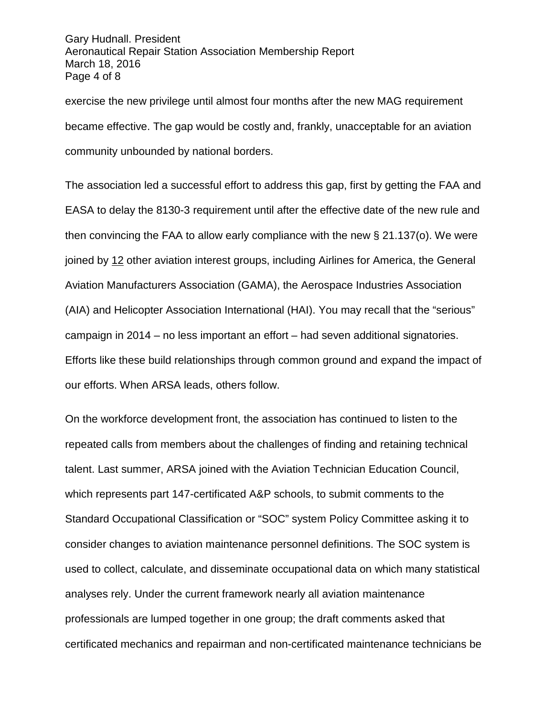Gary Hudnall. President Aeronautical Repair Station Association Membership Report March 18, 2016 Page 4 of 8

exercise the new privilege until almost four months after the new MAG requirement became effective. The gap would be costly and, frankly, unacceptable for an aviation community unbounded by national borders.

The association led a successful effort to address this gap, first by getting the FAA and EASA to delay the 8130-3 requirement until after the effective date of the new rule and then convincing the FAA to allow early compliance with the new § 21.137(o). We were joined by 12 other aviation interest groups, including Airlines for America, the General Aviation Manufacturers Association (GAMA), the Aerospace Industries Association (AIA) and Helicopter Association International (HAI). You may recall that the "serious" campaign in 2014 – no less important an effort – had seven additional signatories. Efforts like these build relationships through common ground and expand the impact of our efforts. When ARSA leads, others follow.

On the workforce development front, the association has continued to listen to the repeated calls from members about the challenges of finding and retaining technical talent. Last summer, ARSA joined with the Aviation Technician Education Council, which represents part 147-certificated A&P schools, to submit comments to the Standard Occupational Classification or "SOC" system Policy Committee asking it to consider changes to aviation maintenance personnel definitions. The SOC system is used to collect, calculate, and disseminate occupational data on which many statistical analyses rely. Under the current framework nearly all aviation maintenance professionals are lumped together in one group; the draft comments asked that certificated mechanics and repairman and non-certificated maintenance technicians be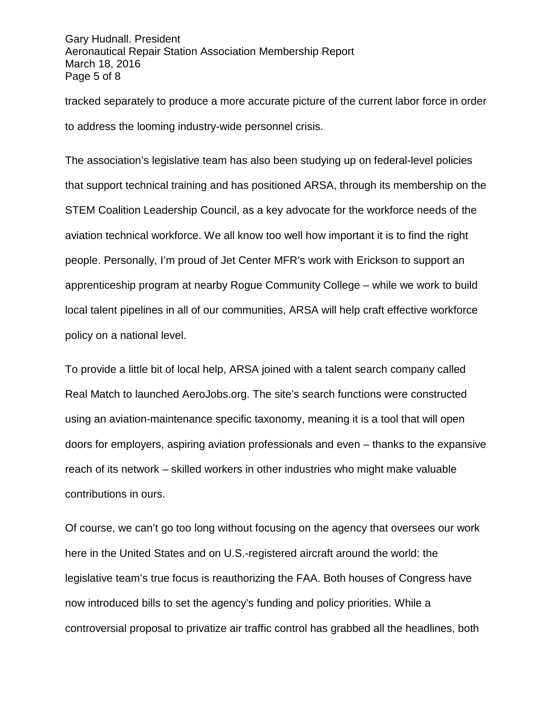Gary Hudnall. President Aeronautical Repair Station Association Membership Report March 18, 2016 Page 5 of 8

tracked separately to produce a more accurate picture of the current labor force in order to address the looming industry-wide personnel crisis.

The association's legislative team has also been studying up on federal-level policies that support technical training and has positioned ARSA, through its membership on the STEM Coalition Leadership Council, as a key advocate for the workforce needs of the aviation technical workforce. We all know too well how important it is to find the right people. Personally, I'm proud of Jet Center MFR's work with Erickson to support an apprenticeship program at nearby Rogue Community College – while we work to build local talent pipelines in all of our communities, ARSA will help craft effective workforce policy on a national level.

To provide a little bit of local help, ARSA joined with a talent search company called Real Match to launched AeroJobs.org. The site's search functions were constructed using an aviation-maintenance specific taxonomy, meaning it is a tool that will open doors for employers, aspiring aviation professionals and even – thanks to the expansive reach of its network – skilled workers in other industries who might make valuable contributions in ours.

Of course, we can't go too long without focusing on the agency that oversees our work here in the United States and on U.S.-registered aircraft around the world: the legislative team's true focus is reauthorizing the FAA. Both houses of Congress have now introduced bills to set the agency's funding and policy priorities. While a controversial proposal to privatize air traffic control has grabbed all the headlines, both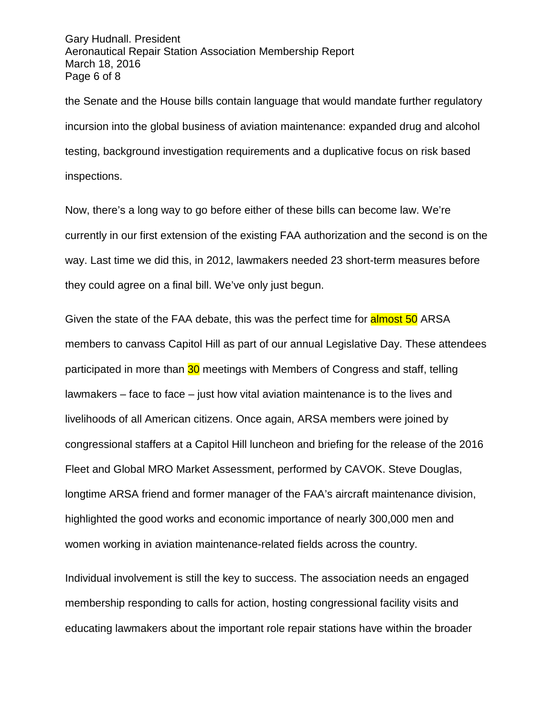Gary Hudnall. President Aeronautical Repair Station Association Membership Report March 18, 2016 Page 6 of 8

the Senate and the House bills contain language that would mandate further regulatory incursion into the global business of aviation maintenance: expanded drug and alcohol testing, background investigation requirements and a duplicative focus on risk based inspections.

Now, there's a long way to go before either of these bills can become law. We're currently in our first extension of the existing FAA authorization and the second is on the way. Last time we did this, in 2012, lawmakers needed 23 short-term measures before they could agree on a final bill. We've only just begun.

Given the state of the FAA debate, this was the perfect time for **almost 50** ARSA members to canvass Capitol Hill as part of our annual Legislative Day. These attendees participated in more than 30 meetings with Members of Congress and staff, telling lawmakers – face to face – just how vital aviation maintenance is to the lives and livelihoods of all American citizens. Once again, ARSA members were joined by congressional staffers at a Capitol Hill luncheon and briefing for the release of the 2016 Fleet and Global MRO Market Assessment, performed by CAVOK. Steve Douglas, longtime ARSA friend and former manager of the FAA's aircraft maintenance division, highlighted the good works and economic importance of nearly 300,000 men and women working in aviation maintenance-related fields across the country.

Individual involvement is still the key to success. The association needs an engaged membership responding to calls for action, hosting congressional facility visits and educating lawmakers about the important role repair stations have within the broader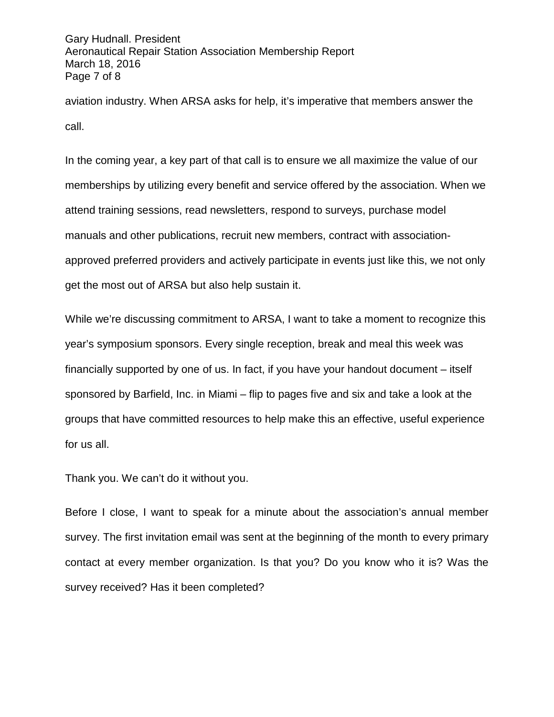Gary Hudnall. President Aeronautical Repair Station Association Membership Report March 18, 2016 Page 7 of 8

aviation industry. When ARSA asks for help, it's imperative that members answer the call.

In the coming year, a key part of that call is to ensure we all maximize the value of our memberships by utilizing every benefit and service offered by the association. When we attend training sessions, read newsletters, respond to surveys, purchase model manuals and other publications, recruit new members, contract with associationapproved preferred providers and actively participate in events just like this, we not only get the most out of ARSA but also help sustain it.

While we're discussing commitment to ARSA, I want to take a moment to recognize this year's symposium sponsors. Every single reception, break and meal this week was financially supported by one of us. In fact, if you have your handout document – itself sponsored by Barfield, Inc. in Miami – flip to pages five and six and take a look at the groups that have committed resources to help make this an effective, useful experience for us all.

Thank you. We can't do it without you.

Before I close, I want to speak for a minute about the association's annual member survey. The first invitation email was sent at the beginning of the month to every primary contact at every member organization. Is that you? Do you know who it is? Was the survey received? Has it been completed?